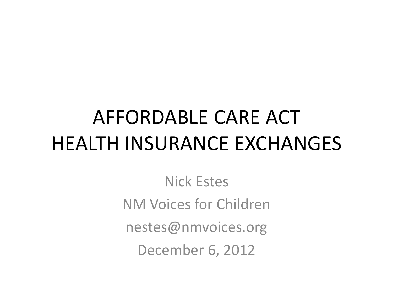# AFFORDABLE CARE ACT HEALTH INSURANCE EXCHANGES

Nick Estes NM Voices for Children nestes@nmvoices.org December 6, 2012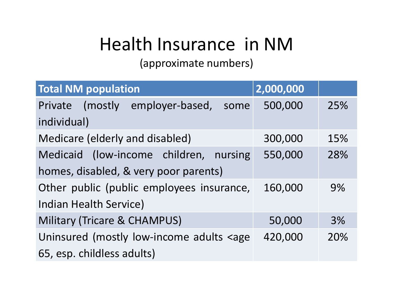## Health Insurance in NM

(approximate numbers)

| <b>Total NM population</b>                                                          | 2,000,000 |     |  |
|-------------------------------------------------------------------------------------|-----------|-----|--|
| Private (mostly employer-based,<br>some                                             | 500,000   | 25% |  |
| individual)                                                                         |           |     |  |
| Medicare (elderly and disabled)                                                     | 300,000   | 15% |  |
| Medicaid (low-income children, nursing                                              | 550,000   | 28% |  |
| homes, disabled, & very poor parents)                                               |           |     |  |
| Other public (public employees insurance,                                           | 160,000   | 9%  |  |
| <b>Indian Health Service)</b>                                                       |           |     |  |
| <b>Military (Tricare &amp; CHAMPUS)</b>                                             | 50,000    | 3%  |  |
| Uninsured (mostly low-income adults <age< td=""><td>420,000</td><td>20%</td></age<> | 420,000   | 20% |  |
| 65, esp. childless adults)                                                          |           |     |  |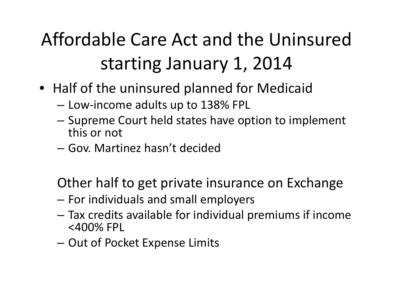## Affordable Care Act and the Uninsured starting January 1, 2014

- Half of the uninsured planned for Medicaid
	- –Low‐income adults up to 138% FPL
	- – $-$  Supreme Court held states have option to implement this or not
	- Gov. Martinez hasn't decided

Other half to get private insurance on Exchange

- – $-$  For individuals and small employers
- – Tax credits available for individual premiums if income <400% FPL
- – $-$  Out of Pocket Expense Limits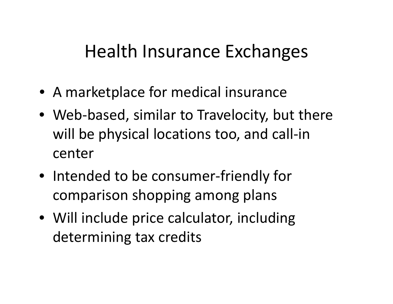### Health Insurance Exchanges

- A marketplace for medical insurance
- Web‐based, similar to Travelocity, but there will be physical locations too, and call‐in center
- Intended to be consumer‐friendly for comparison shopping among plans
- Will include price calculator, including determining tax credits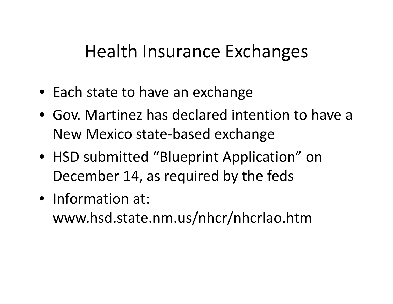### Health Insurance Exchanges

- Each state to have an exchange
- Gov. Martinez has declared intention to have <sup>a</sup> New Mexico state‐based exchange
- HSD submitted "Blueprint Application" on December 14, as required by the feds
- Information at: www.hsd.state.nm.us/nhcr/nhcrlao.htm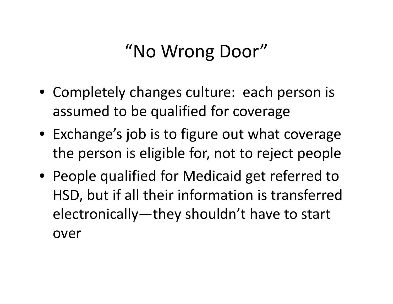## "No Wrong Door"

- Completely changes culture: each person is assumed to be qualified for coverage
- Exchange's job is to figure out what coverage the person is eligible for, not to reject people
- People qualified for Medicaid get referred to HSD, but if all their information is transferred electronically—they shouldn't have to start over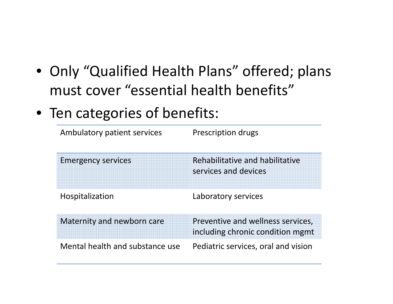- Only "Qualified Health Plans" offered; plans must cover "essential health benefits"
- Ten categories of benefits:

| Ambulatory patient services     | Prescription drugs                                                    |
|---------------------------------|-----------------------------------------------------------------------|
| <b>Emergency services</b>       | Rehabilitative and habilitative<br>services and devices               |
| Hospitalization                 | Laboratory services                                                   |
| Maternity and newborn care      | Preventive and wellness services,<br>including chronic condition mgmt |
| Mental health and substance use | Pediatric services, oral and vision                                   |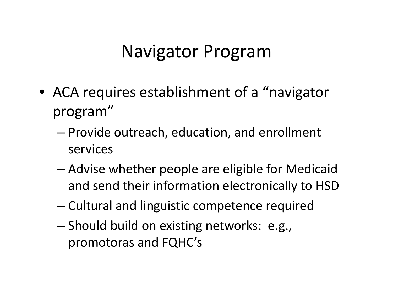#### Navigator Program

- ACA requires establishment of <sup>a</sup> "navigator program"
	- – Provide outreach, education, and enrollment services
	- – Advise whether people are eligible for Medicaid and send their information electronically to HSD
	- Cultural and linguistic competence required
	- – Should build on existing networks: e.g., promotoras and FQHC's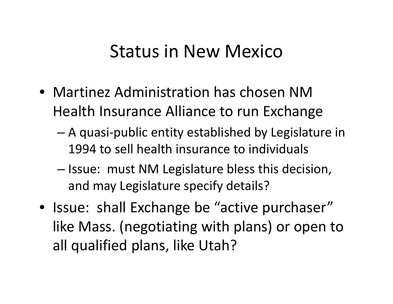#### Status in New Mexico

- Martinez Administration has chosen NMHealth Insurance Alliance to run Exchange
	- A quasi‐public entity established by Legislature in 1994 to sell health insurance to individuals
	- Issue: must NM Legislature bless this decision, and may Legislature specify details?
- Issue: shall Exchange be "active purchaser" like Mass. (negotiating with plans) or open to all qualified plans, like Utah?